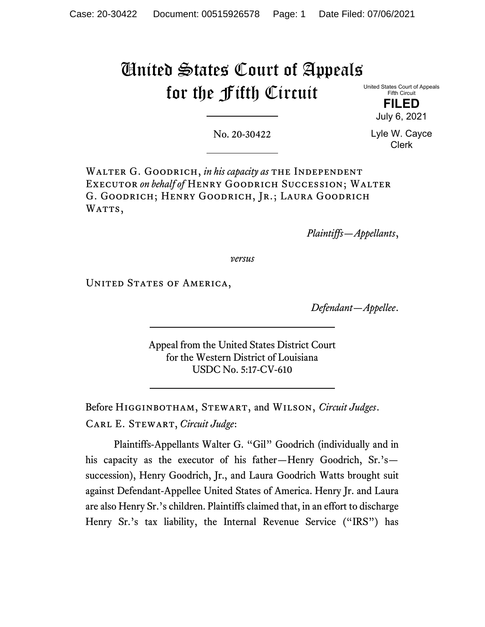# United States Court of Appeals for the Fifth Circuit

United States Court of Appeals Fifth Circuit FILED

July 6, 2021

No. 20-30422

Lyle W. Cayce Clerk

WALTER G. GOODRICH, in his capacity as THE INDEPENDENT EXECUTOR on behalf of HENRY GOODRICH SUCCESSION; WALTER G. Goodrich; Henry Goodrich, Jr.; Laura Goodrich WATTS,

Plaintiffs—Appellants,

versus

UNITED STATES OF AMERICA,

Defendant—Appellee.

Appeal from the United States District Court for the Western District of Louisiana USDC No. 5:17-CV-610

Before HIGGINBOTHAM, STEWART, and WILSON, Circuit Judges. CARL E. STEWART, Circuit Judge:

Plaintiffs-Appellants Walter G. "Gil" Goodrich (individually and in his capacity as the executor of his father—Henry Goodrich, Sr.'s succession), Henry Goodrich, Jr., and Laura Goodrich Watts brought suit against Defendant-Appellee United States of America. Henry Jr. and Laura are also Henry Sr.'s children. Plaintiffs claimed that, in an effort to discharge Henry Sr.'s tax liability, the Internal Revenue Service ("IRS") has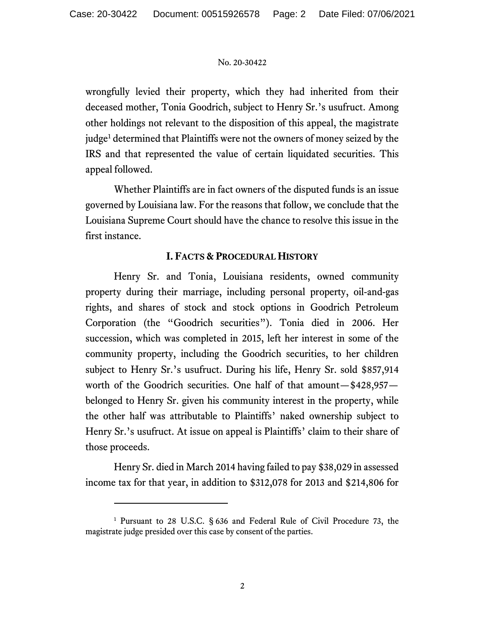wrongfully levied their property, which they had inherited from their deceased mother, Tonia Goodrich, subject to Henry Sr.'s usufruct. Among other holdings not relevant to the disposition of this appeal, the magistrate judge<sup>1</sup> determined that Plaintiffs were not the owners of money seized by the IRS and that represented the value of certain liquidated securities. This appeal followed.

Whether Plaintiffs are in fact owners of the disputed funds is an issue governed by Louisiana law. For the reasons that follow, we conclude that the Louisiana Supreme Court should have the chance to resolve this issue in the first instance.

# I. FACTS & PROCEDURAL HISTORY

Henry Sr. and Tonia, Louisiana residents, owned community property during their marriage, including personal property, oil-and-gas rights, and shares of stock and stock options in Goodrich Petroleum Corporation (the "Goodrich securities"). Tonia died in 2006. Her succession, which was completed in 2015, left her interest in some of the community property, including the Goodrich securities, to her children subject to Henry Sr.'s usufruct. During his life, Henry Sr. sold \$857,914 worth of the Goodrich securities. One half of that amount—\$428,957 belonged to Henry Sr. given his community interest in the property, while the other half was attributable to Plaintiffs' naked ownership subject to Henry Sr.'s usufruct. At issue on appeal is Plaintiffs' claim to their share of those proceeds.

Henry Sr. died in March 2014 having failed to pay \$38,029 in assessed income tax for that year, in addition to \$312,078 for 2013 and \$214,806 for

<sup>&</sup>lt;sup>1</sup> Pursuant to 28 U.S.C. § 636 and Federal Rule of Civil Procedure 73, the magistrate judge presided over this case by consent of the parties.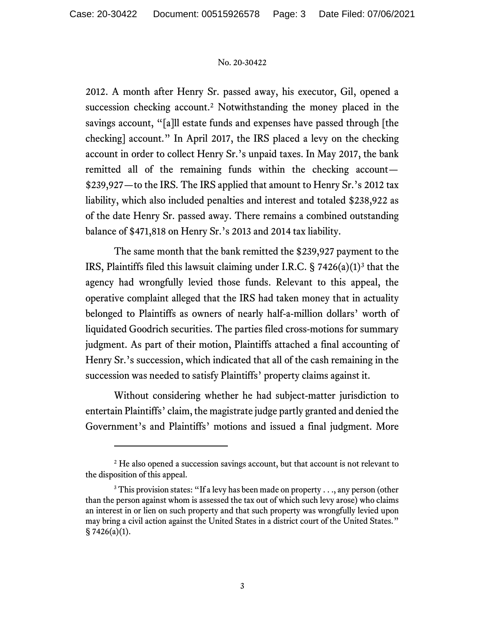2012. A month after Henry Sr. passed away, his executor, Gil, opened a succession checking account.<sup>2</sup> Notwithstanding the money placed in the savings account, "[a]ll estate funds and expenses have passed through [the checking] account." In April 2017, the IRS placed a levy on the checking account in order to collect Henry Sr.'s unpaid taxes. In May 2017, the bank remitted all of the remaining funds within the checking account— \$239,927—to the IRS. The IRS applied that amount to Henry Sr.'s 2012 tax liability, which also included penalties and interest and totaled \$238,922 as of the date Henry Sr. passed away. There remains a combined outstanding balance of \$471,818 on Henry Sr.'s 2013 and 2014 tax liability.

The same month that the bank remitted the \$239,927 payment to the IRS, Plaintiffs filed this lawsuit claiming under I.R.C.  $\S 7426(a)(1)^3$  that the agency had wrongfully levied those funds. Relevant to this appeal, the operative complaint alleged that the IRS had taken money that in actuality belonged to Plaintiffs as owners of nearly half-a-million dollars' worth of liquidated Goodrich securities. The parties filed cross-motions for summary judgment. As part of their motion, Plaintiffs attached a final accounting of Henry Sr.'s succession, which indicated that all of the cash remaining in the succession was needed to satisfy Plaintiffs' property claims against it.

Without considering whether he had subject-matter jurisdiction to entertain Plaintiffs' claim, the magistrate judge partly granted and denied the Government's and Plaintiffs' motions and issued a final judgment. More

<sup>&</sup>lt;sup>2</sup> He also opened a succession savings account, but that account is not relevant to the disposition of this appeal.

<sup>&</sup>lt;sup>3</sup> This provision states: "If a levy has been made on property  $\dots$ , any person (other than the person against whom is assessed the tax out of which such levy arose) who claims an interest in or lien on such property and that such property was wrongfully levied upon may bring a civil action against the United States in a district court of the United States."  $§ 7426(a)(1).$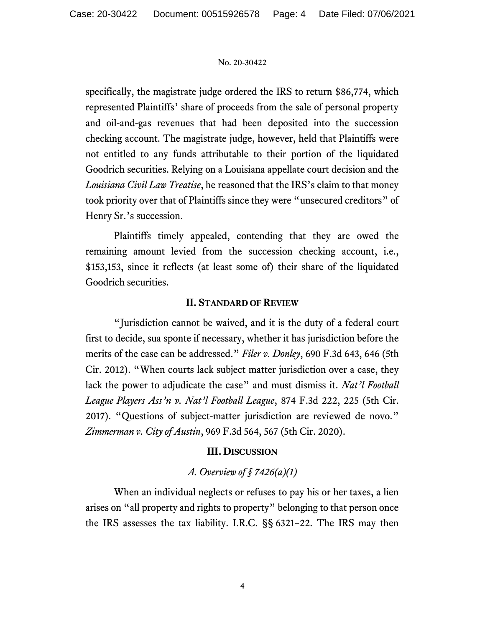specifically, the magistrate judge ordered the IRS to return \$86,774, which represented Plaintiffs' share of proceeds from the sale of personal property and oil-and-gas revenues that had been deposited into the succession checking account. The magistrate judge, however, held that Plaintiffs were not entitled to any funds attributable to their portion of the liquidated Goodrich securities. Relying on a Louisiana appellate court decision and the Louisiana Civil Law Treatise, he reasoned that the IRS's claim to that money took priority over that of Plaintiffs since they were "unsecured creditors" of Henry Sr.'s succession.

Plaintiffs timely appealed, contending that they are owed the remaining amount levied from the succession checking account, i.e., \$153,153, since it reflects (at least some of) their share of the liquidated Goodrich securities.

# II. STANDARD OF REVIEW

"Jurisdiction cannot be waived, and it is the duty of a federal court first to decide, sua sponte if necessary, whether it has jurisdiction before the merits of the case can be addressed." Filer v. Donley, 690 F.3d 643, 646 (5th Cir. 2012). "When courts lack subject matter jurisdiction over a case, they lack the power to adjudicate the case" and must dismiss it. Nat'l Football League Players Ass'n v. Nat'l Football League, 874 F.3d 222, 225 (5th Cir. 2017). "Questions of subject-matter jurisdiction are reviewed de novo." Zimmerman v. City of Austin, 969 F.3d 564, 567 (5th Cir. 2020).

# III. DISCUSSION

# A. Overview of  $\delta$  7426(a)(1)

When an individual neglects or refuses to pay his or her taxes, a lien arises on "all property and rights to property" belonging to that person once the IRS assesses the tax liability. I.R.C. §§ 6321–22. The IRS may then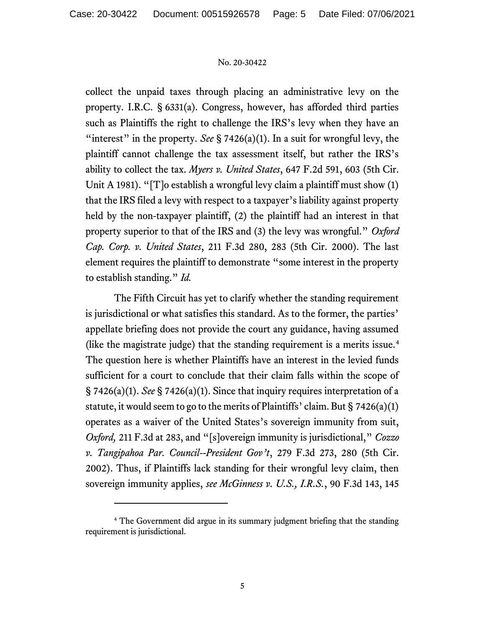collect the unpaid taxes through placing an administrative levy on the property. I.R.C. § 6331(a). Congress, however, has afforded third parties such as Plaintiffs the right to challenge the IRS's levy when they have an "interest" in the property. See  $\S 7426(a)(1)$ . In a suit for wrongful levy, the plaintiff cannot challenge the tax assessment itself, but rather the IRS's ability to collect the tax. Myers v. United States, 647 F.2d 591, 603 (5th Cir. Unit A 1981). "[T]o establish a wrongful levy claim a plaintiff must show (1) that the IRS filed a levy with respect to a taxpayer's liability against property held by the non-taxpayer plaintiff, (2) the plaintiff had an interest in that property superior to that of the IRS and (3) the levy was wrongful." Oxford Cap. Corp. v. United States, 211 F.3d 280, 283 (5th Cir. 2000). The last element requires the plaintiff to demonstrate "some interest in the property to establish standing." *Id.* 

The Fifth Circuit has yet to clarify whether the standing requirement is jurisdictional or what satisfies this standard. As to the former, the parties' appellate briefing does not provide the court any guidance, having assumed (like the magistrate judge) that the standing requirement is a merits issue.<sup>4</sup> The question here is whether Plaintiffs have an interest in the levied funds sufficient for a court to conclude that their claim falls within the scope of  $\S 7426(a)(1)$ . See  $\S 7426(a)(1)$ . Since that inquiry requires interpretation of a statute, it would seem to go to the merits of Plaintiffs' claim. But § 7426(a)(1) operates as a waiver of the United States's sovereign immunity from suit, Oxford, 211 F.3d at 283, and "[s]overeign immunity is jurisdictional," Cozzo v. Tangipahoa Par. Council--President Gov't, 279 F.3d 273, 280 (5th Cir. 2002). Thus, if Plaintiffs lack standing for their wrongful levy claim, then sovereign immunity applies, see McGinness v. U.S., I.R.S., 90 F.3d 143, 145

<sup>&</sup>lt;sup>4</sup> The Government did argue in its summary judgment briefing that the standing requirement is jurisdictional.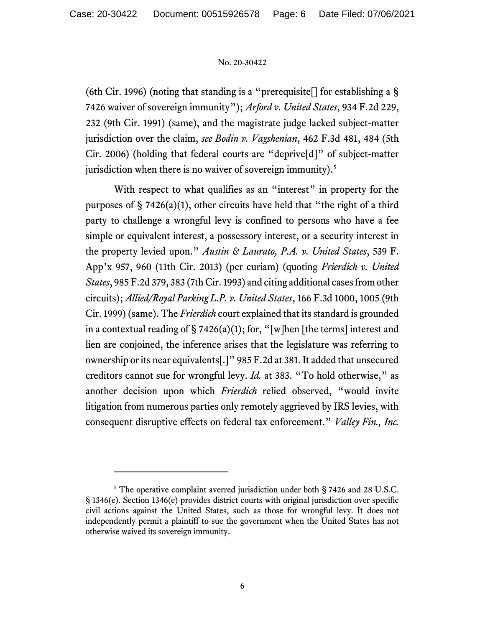(6th Cir. 1996) (noting that standing is a "prerequisite[] for establishing a § 7426 waiver of sovereign immunity"); Arford v. United States, 934 F.2d 229, 232 (9th Cir. 1991) (same), and the magistrate judge lacked subject-matter jurisdiction over the claim, see Bodin v. Vagshenian, 462 F.3d 481, 484 (5th Cir. 2006) (holding that federal courts are "deprive[d]" of subject-matter jurisdiction when there is no waiver of sovereign immunity).<sup>5</sup>

With respect to what qualifies as an "interest" in property for the purposes of  $\S$  7426(a)(1), other circuits have held that "the right of a third party to challenge a wrongful levy is confined to persons who have a fee simple or equivalent interest, a possessory interest, or a security interest in the property levied upon." Austin & Laurato, P.A. v. United States, 539 F. App'x 957, 960 (11th Cir. 2013) (per curiam) (quoting Frierdich v. United States, 985 F.2d 379, 383 (7th Cir. 1993) and citing additional cases from other circuits); Allied/Royal Parking L.P. v. United States, 166 F.3d 1000, 1005 (9th Cir. 1999) (same). The Frierdich court explained that its standard is grounded in a contextual reading of  $\S 7426(a)(1)$ ; for, "[w]hen [the terms] interest and lien are conjoined, the inference arises that the legislature was referring to ownership or its near equivalents[.]" 985 F.2d at 381. It added that unsecured creditors cannot sue for wrongful levy. Id. at 383. "To hold otherwise," as another decision upon which Frierdich relied observed, "would invite litigation from numerous parties only remotely aggrieved by IRS levies, with consequent disruptive effects on federal tax enforcement." Valley Fin., Inc.

<sup>&</sup>lt;sup>5</sup> The operative complaint averred jurisdiction under both § 7426 and 28 U.S.C. § 1346(e). Section 1346(e) provides district courts with original jurisdiction over specific civil actions against the United States, such as those for wrongful levy. It does not independently permit a plaintiff to sue the government when the United States has not otherwise waived its sovereign immunity.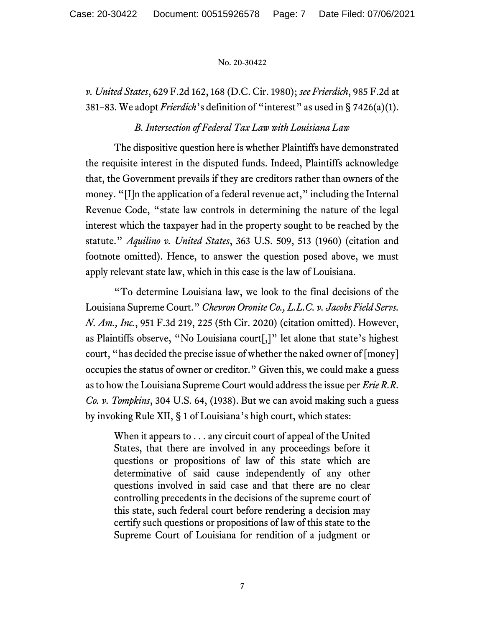v. United States, 629 F.2d 162, 168 (D.C. Cir. 1980); see Frierdich, 985 F.2d at 381–83. We adopt *Frierdich*'s definition of "interest" as used in  $\S 7426(a)(1)$ .

# B. Intersection of Federal Tax Law with Louisiana Law

The dispositive question here is whether Plaintiffs have demonstrated the requisite interest in the disputed funds. Indeed, Plaintiffs acknowledge that, the Government prevails if they are creditors rather than owners of the money. "[I]n the application of a federal revenue act," including the Internal Revenue Code, "state law controls in determining the nature of the legal interest which the taxpayer had in the property sought to be reached by the statute." Aquilino v. United States, 363 U.S. 509, 513 (1960) (citation and footnote omitted). Hence, to answer the question posed above, we must apply relevant state law, which in this case is the law of Louisiana.

"To determine Louisiana law, we look to the final decisions of the Louisiana Supreme Court." Chevron Oronite Co., L.L.C. v. Jacobs Field Servs. N. Am., Inc., 951 F.3d 219, 225 (5th Cir. 2020) (citation omitted). However, as Plaintiffs observe, "No Louisiana court[,]" let alone that state's highest court, "has decided the precise issue of whether the naked owner of [money] occupies the status of owner or creditor." Given this, we could make a guess as to how the Louisiana Supreme Court would address the issue per Erie R.R. Co. v. Tompkins, 304 U.S. 64, (1938). But we can avoid making such a guess by invoking Rule XII, § 1 of Louisiana's high court, which states:

When it appears to . . . any circuit court of appeal of the United States, that there are involved in any proceedings before it questions or propositions of law of this state which are determinative of said cause independently of any other questions involved in said case and that there are no clear controlling precedents in the decisions of the supreme court of this state, such federal court before rendering a decision may certify such questions or propositions of law of this state to the Supreme Court of Louisiana for rendition of a judgment or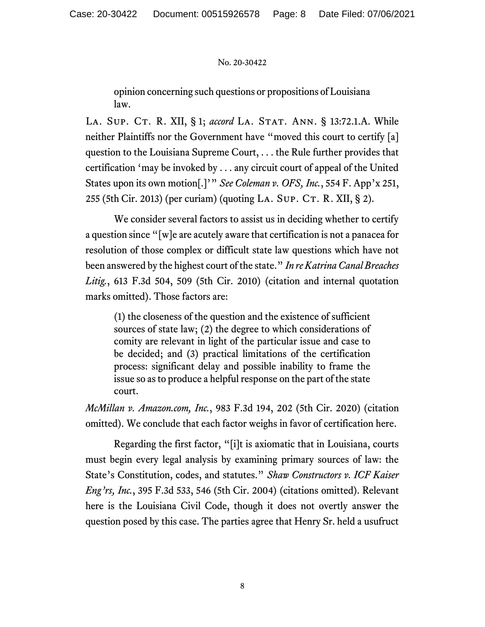opinion concerning such questions or propositions of Louisiana law.

LA. SUP. CT. R. XII, § 1; accord LA. STAT. ANN. § 13:72.1.A. While neither Plaintiffs nor the Government have "moved this court to certify [a] question to the Louisiana Supreme Court, . . . the Rule further provides that certification 'may be invoked by . . . any circuit court of appeal of the United States upon its own motion[.]'" See Coleman v. OFS, Inc., 554 F. App'x 251, 255 (5th Cir. 2013) (per curiam) (quoting LA. SUP. CT. R. XII,  $\S$  2).

We consider several factors to assist us in deciding whether to certify a question since "[w]e are acutely aware that certification is not a panacea for resolution of those complex or difficult state law questions which have not been answered by the highest court of the state." In re Katrina Canal Breaches Litig., 613 F.3d 504, 509 (5th Cir. 2010) (citation and internal quotation marks omitted). Those factors are:

(1) the closeness of the question and the existence of sufficient sources of state law; (2) the degree to which considerations of comity are relevant in light of the particular issue and case to be decided; and (3) practical limitations of the certification process: significant delay and possible inability to frame the issue so as to produce a helpful response on the part of the state court.

McMillan v. Amazon.com, Inc., 983 F.3d 194, 202 (5th Cir. 2020) (citation omitted). We conclude that each factor weighs in favor of certification here.

Regarding the first factor, "[i]t is axiomatic that in Louisiana, courts must begin every legal analysis by examining primary sources of law: the State's Constitution, codes, and statutes." Shaw Constructors v. ICF Kaiser Eng'rs, Inc., 395 F.3d 533, 546 (5th Cir. 2004) (citations omitted). Relevant here is the Louisiana Civil Code, though it does not overtly answer the question posed by this case. The parties agree that Henry Sr. held a usufruct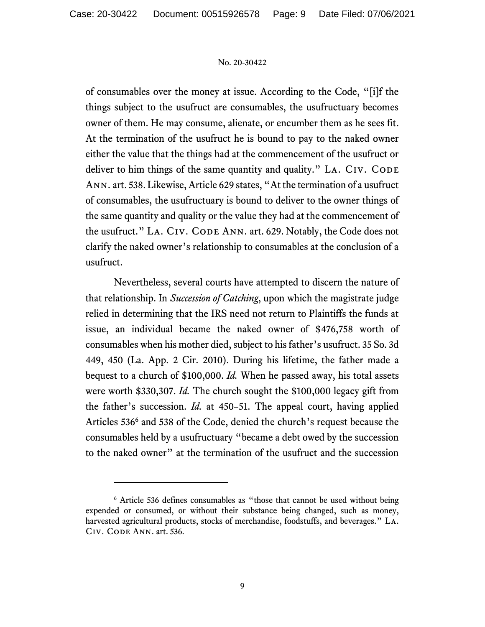of consumables over the money at issue. According to the Code, "[i]f the things subject to the usufruct are consumables, the usufructuary becomes owner of them. He may consume, alienate, or encumber them as he sees fit. At the termination of the usufruct he is bound to pay to the naked owner either the value that the things had at the commencement of the usufruct or deliver to him things of the same quantity and quality." LA. CIV. CODE Ann. art. 538. Likewise, Article 629 states, "At the termination of a usufruct of consumables, the usufructuary is bound to deliver to the owner things of the same quantity and quality or the value they had at the commencement of the usufruct." LA. CIV. CODE ANN. art. 629. Notably, the Code does not clarify the naked owner's relationship to consumables at the conclusion of a usufruct.

Nevertheless, several courts have attempted to discern the nature of that relationship. In Succession of Catching, upon which the magistrate judge relied in determining that the IRS need not return to Plaintiffs the funds at issue, an individual became the naked owner of \$476,758 worth of consumables when his mother died, subject to his father's usufruct. 35 So. 3d 449, 450 (La. App. 2 Cir. 2010). During his lifetime, the father made a bequest to a church of \$100,000. Id. When he passed away, his total assets were worth \$330,307. Id. The church sought the \$100,000 legacy gift from the father's succession. Id. at 450–51. The appeal court, having applied Articles 536<sup>6</sup> and 538 of the Code, denied the church's request because the consumables held by a usufructuary "became a debt owed by the succession to the naked owner" at the termination of the usufruct and the succession

<sup>&</sup>lt;sup>6</sup> Article 536 defines consumables as "those that cannot be used without being expended or consumed, or without their substance being changed, such as money, harvested agricultural products, stocks of merchandise, foodstuffs, and beverages." La. Civ. Code Ann. art. 536.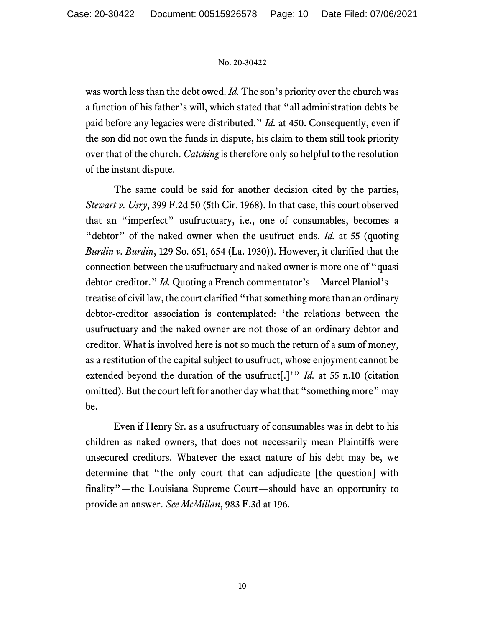was worth less than the debt owed. Id. The son's priority over the church was a function of his father's will, which stated that "all administration debts be paid before any legacies were distributed." Id. at 450. Consequently, even if the son did not own the funds in dispute, his claim to them still took priority over that of the church. *Catching* is therefore only so helpful to the resolution of the instant dispute.

The same could be said for another decision cited by the parties, Stewart v. Usry, 399 F.2d 50 (5th Cir. 1968). In that case, this court observed that an "imperfect" usufructuary, i.e., one of consumables, becomes a "debtor" of the naked owner when the usufruct ends.  $Id$ . at 55 (quoting Burdin v. Burdin, 129 So. 651, 654 (La. 1930)). However, it clarified that the connection between the usufructuary and naked owner is more one of "quasi debtor-creditor." Id. Quoting a French commentator's—Marcel Planiol's treatise of civil law, the court clarified "that something more than an ordinary debtor-creditor association is contemplated: 'the relations between the usufructuary and the naked owner are not those of an ordinary debtor and creditor. What is involved here is not so much the return of a sum of money, as a restitution of the capital subject to usufruct, whose enjoyment cannot be extended beyond the duration of the usufruct[.]'"  $Id$ . at 55 n.10 (citation omitted). But the court left for another day what that "something more" may be.

Even if Henry Sr. as a usufructuary of consumables was in debt to his children as naked owners, that does not necessarily mean Plaintiffs were unsecured creditors. Whatever the exact nature of his debt may be, we determine that "the only court that can adjudicate [the question] with finality"—the Louisiana Supreme Court—should have an opportunity to provide an answer. See McMillan, 983 F.3d at 196.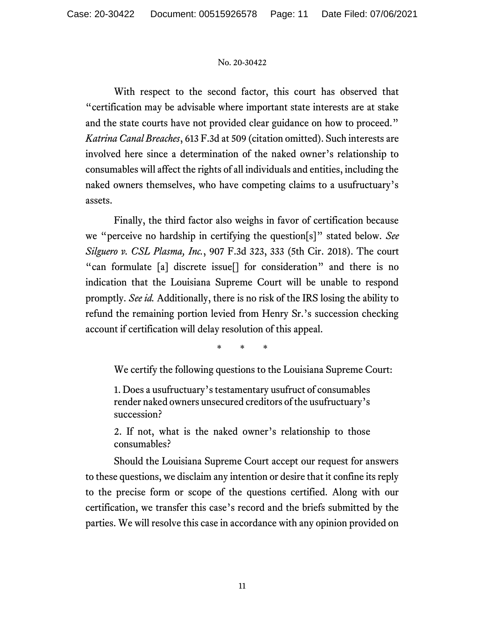With respect to the second factor, this court has observed that "certification may be advisable where important state interests are at stake and the state courts have not provided clear guidance on how to proceed." Katrina Canal Breaches, 613 F.3d at 509 (citation omitted). Such interests are involved here since a determination of the naked owner's relationship to consumables will affect the rights of all individuals and entities, including the naked owners themselves, who have competing claims to a usufructuary's assets.

Finally, the third factor also weighs in favor of certification because we "perceive no hardship in certifying the question[s]" stated below. See Silguero v. CSL Plasma, Inc., 907 F.3d 323, 333 (5th Cir. 2018). The court "can formulate [a] discrete issue[] for consideration" and there is no indication that the Louisiana Supreme Court will be unable to respond promptly. See id. Additionally, there is no risk of the IRS losing the ability to refund the remaining portion levied from Henry Sr.'s succession checking account if certification will delay resolution of this appeal.

\* \* \*

We certify the following questions to the Louisiana Supreme Court:

1. Does a usufructuary's testamentary usufruct of consumables render naked owners unsecured creditors of the usufructuary's succession?

2. If not, what is the naked owner's relationship to those consumables?

 Should the Louisiana Supreme Court accept our request for answers to these questions, we disclaim any intention or desire that it confine its reply to the precise form or scope of the questions certified. Along with our certification, we transfer this case's record and the briefs submitted by the parties. We will resolve this case in accordance with any opinion provided on